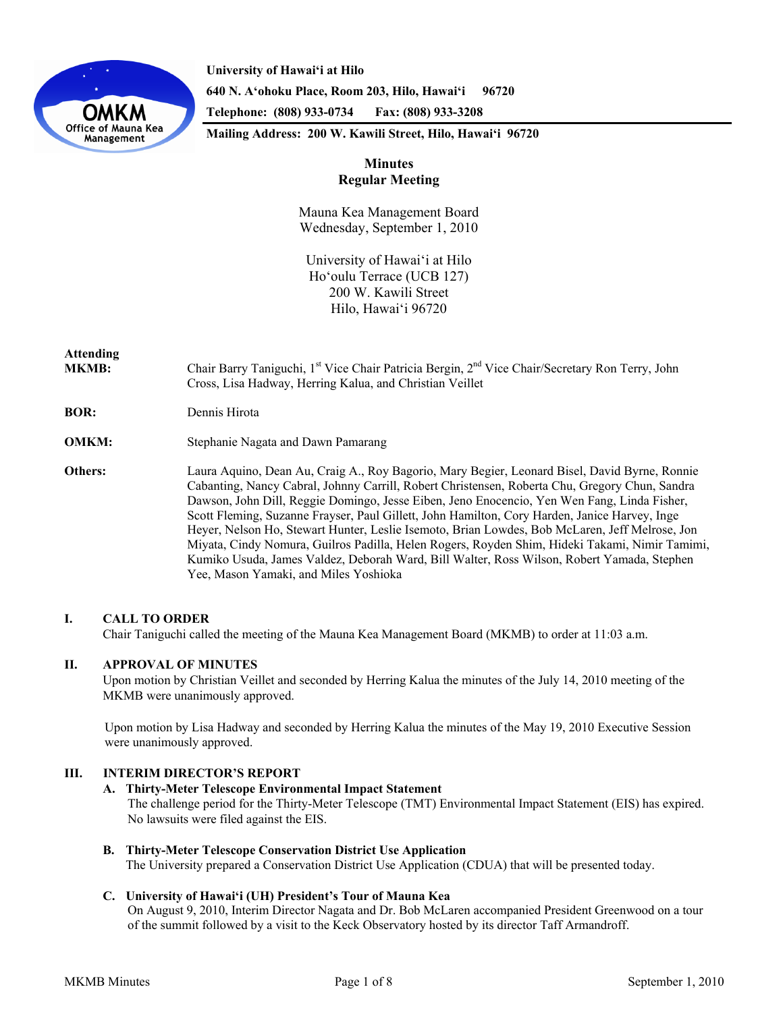

**University of Hawai'i at Hilo 640 N. A'ohoku Place, Room 203, Hilo, Hawai'i 96720 Telephone: (808) 933-0734 Fax: (808) 933-3208** 

**Mailing Address: 200 W. Kawili Street, Hilo, Hawai'i 96720** 

## **Minutes Regular Meeting**

Mauna Kea Management Board Wednesday, September 1, 2010

University of Hawaiʻi at Hilo Hoʻoulu Terrace (UCB 127) 200 W. Kawili Street Hilo, Hawaiʻi 96720

# **Attending**

- **MKMB:** Chair Barry Taniguchi, 1<sup>st</sup> Vice Chair Patricia Bergin, 2<sup>nd</sup> Vice Chair/Secretary Ron Terry, John Cross, Lisa Hadway, Herring Kalua, and Christian Veillet
- **BOR:** Dennis Hirota
- **OMKM:** Stephanie Nagata and Dawn Pamarang
- **Others:** Laura Aquino, Dean Au, Craig A., Roy Bagorio, Mary Begier, Leonard Bisel, David Byrne, Ronnie Cabanting, Nancy Cabral, Johnny Carrill, Robert Christensen, Roberta Chu, Gregory Chun, Sandra Dawson, John Dill, Reggie Domingo, Jesse Eiben, Jeno Enocencio, Yen Wen Fang, Linda Fisher, Scott Fleming, Suzanne Frayser, Paul Gillett, John Hamilton, Cory Harden, Janice Harvey, Inge Heyer, Nelson Ho, Stewart Hunter, Leslie Isemoto, Brian Lowdes, Bob McLaren, Jeff Melrose, Jon Miyata, Cindy Nomura, Guilros Padilla, Helen Rogers, Royden Shim, Hideki Takami, Nimir Tamimi, Kumiko Usuda, James Valdez, Deborah Ward, Bill Walter, Ross Wilson, Robert Yamada, Stephen Yee, Mason Yamaki, and Miles Yoshioka

## **I. CALL TO ORDER**

Chair Taniguchi called the meeting of the Mauna Kea Management Board (MKMB) to order at 11:03 a.m.

## **II. APPROVAL OF MINUTES**

Upon motion by Christian Veillet and seconded by Herring Kalua the minutes of the July 14, 2010 meeting of the MKMB were unanimously approved.

Upon motion by Lisa Hadway and seconded by Herring Kalua the minutes of the May 19, 2010 Executive Session were unanimously approved.

## **III. INTERIM DIRECTOR'S REPORT**

## **A. Thirty-Meter Telescope Environmental Impact Statement**

The challenge period for the Thirty-Meter Telescope (TMT) Environmental Impact Statement (EIS) has expired. No lawsuits were filed against the EIS.

## **B. Thirty-Meter Telescope Conservation District Use Application**

The University prepared a Conservation District Use Application (CDUA) that will be presented today.

## **C. University of Hawaiʻi (UH) President's Tour of Mauna Kea**

On August 9, 2010, Interim Director Nagata and Dr. Bob McLaren accompanied President Greenwood on a tour of the summit followed by a visit to the Keck Observatory hosted by its director Taff Armandroff.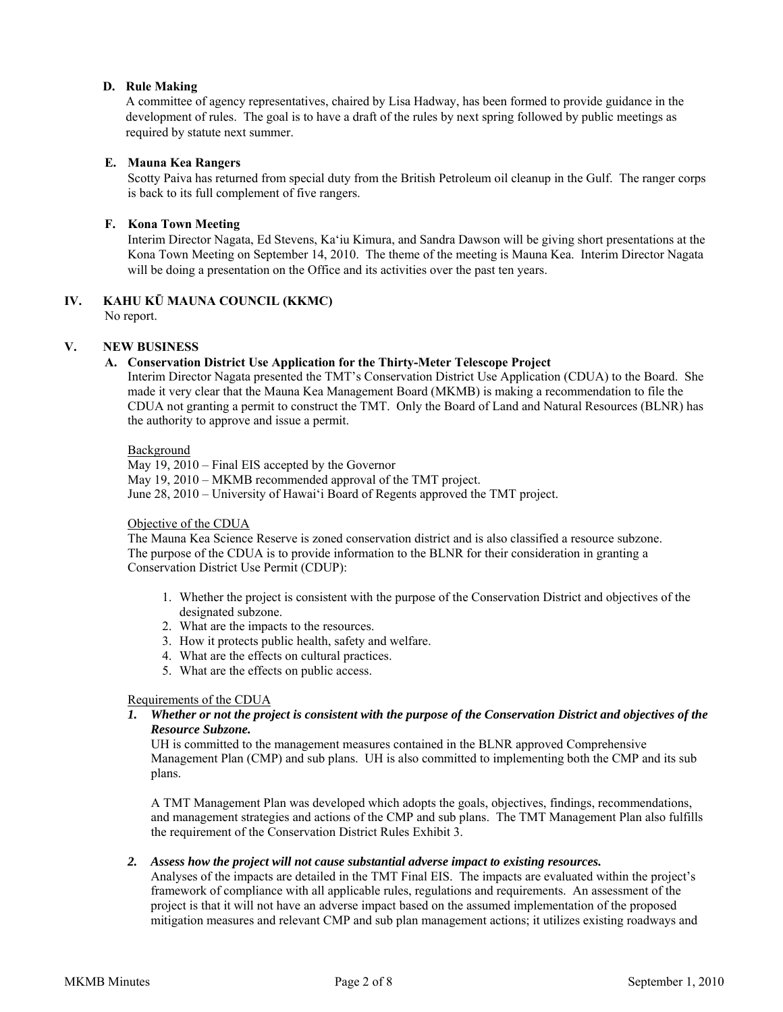## **D. Rule Making**

A committee of agency representatives, chaired by Lisa Hadway, has been formed to provide guidance in the development of rules. The goal is to have a draft of the rules by next spring followed by public meetings as required by statute next summer.

## **E. Mauna Kea Rangers**

 Scotty Paiva has returned from special duty from the British Petroleum oil cleanup in the Gulf. The ranger corps is back to its full complement of five rangers.

## **F. Kona Town Meeting**

 Interim Director Nagata, Ed Stevens, Ka'iu Kimura, and Sandra Dawson will be giving short presentations at the Kona Town Meeting on September 14, 2010. The theme of the meeting is Mauna Kea. Interim Director Nagata will be doing a presentation on the Office and its activities over the past ten years.

## **IV. KAHU KŪ MAUNA COUNCIL (KKMC)**

No report.

## **V. NEW BUSINESS**

## **A. Conservation District Use Application for the Thirty-Meter Telescope Project**

Interim Director Nagata presented the TMT's Conservation District Use Application (CDUA) to the Board. She made it very clear that the Mauna Kea Management Board (MKMB) is making a recommendation to file the CDUA not granting a permit to construct the TMT. Only the Board of Land and Natural Resources (BLNR) has the authority to approve and issue a permit.

## Background

May 19, 2010 – Final EIS accepted by the Governor May 19, 2010 – MKMB recommended approval of the TMT project. June 28, 2010 – University of Hawaiʻi Board of Regents approved the TMT project.

## Objective of the CDUA

The Mauna Kea Science Reserve is zoned conservation district and is also classified a resource subzone. The purpose of the CDUA is to provide information to the BLNR for their consideration in granting a Conservation District Use Permit (CDUP):

- 1. Whether the project is consistent with the purpose of the Conservation District and objectives of the designated subzone.
- 2. What are the impacts to the resources.
- 3. How it protects public health, safety and welfare.
- 4. What are the effects on cultural practices.
- 5. What are the effects on public access.

## Requirements of the CDUA

*1. Whether or not the project is consistent with the purpose of the Conservation District and objectives of the Resource Subzone.* 

UH is committed to the management measures contained in the BLNR approved Comprehensive Management Plan (CMP) and sub plans. UH is also committed to implementing both the CMP and its sub plans.

A TMT Management Plan was developed which adopts the goals, objectives, findings, recommendations, and management strategies and actions of the CMP and sub plans. The TMT Management Plan also fulfills the requirement of the Conservation District Rules Exhibit 3.

## *2. Assess how the project will not cause substantial adverse impact to existing resources.*

Analyses of the impacts are detailed in the TMT Final EIS. The impacts are evaluated within the project's framework of compliance with all applicable rules, regulations and requirements. An assessment of the project is that it will not have an adverse impact based on the assumed implementation of the proposed mitigation measures and relevant CMP and sub plan management actions; it utilizes existing roadways and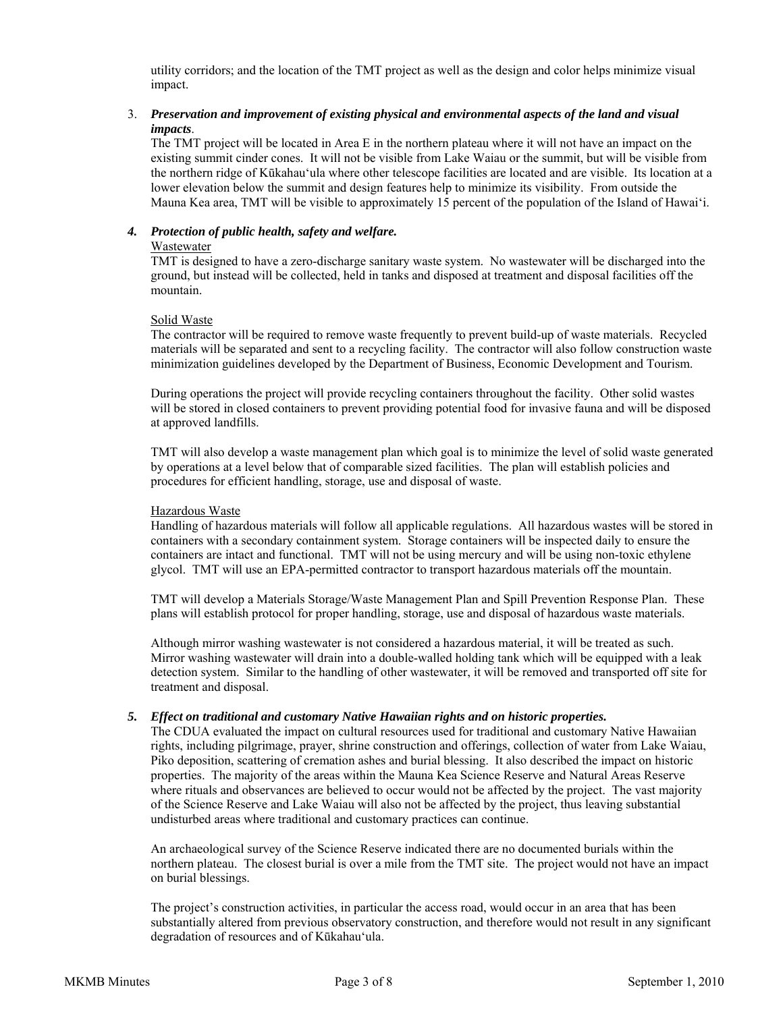utility corridors; and the location of the TMT project as well as the design and color helps minimize visual impact.

## 3. *Preservation and improvement of existing physical and environmental aspects of the land and visual impacts*.

The TMT project will be located in Area E in the northern plateau where it will not have an impact on the existing summit cinder cones. It will not be visible from Lake Waiau or the summit, but will be visible from the northern ridge of Kūkahauʻula where other telescope facilities are located and are visible. Its location at a lower elevation below the summit and design features help to minimize its visibility. From outside the Mauna Kea area, TMT will be visible to approximately 15 percent of the population of the Island of Hawaiʻi.

## *4. Protection of public health, safety and welfare.*

#### Wastewater

TMT is designed to have a zero-discharge sanitary waste system. No wastewater will be discharged into the ground, but instead will be collected, held in tanks and disposed at treatment and disposal facilities off the mountain.

## Solid Waste

The contractor will be required to remove waste frequently to prevent build-up of waste materials. Recycled materials will be separated and sent to a recycling facility. The contractor will also follow construction waste minimization guidelines developed by the Department of Business, Economic Development and Tourism.

During operations the project will provide recycling containers throughout the facility. Other solid wastes will be stored in closed containers to prevent providing potential food for invasive fauna and will be disposed at approved landfills.

TMT will also develop a waste management plan which goal is to minimize the level of solid waste generated by operations at a level below that of comparable sized facilities. The plan will establish policies and procedures for efficient handling, storage, use and disposal of waste.

#### Hazardous Waste

Handling of hazardous materials will follow all applicable regulations. All hazardous wastes will be stored in containers with a secondary containment system. Storage containers will be inspected daily to ensure the containers are intact and functional. TMT will not be using mercury and will be using non-toxic ethylene glycol. TMT will use an EPA-permitted contractor to transport hazardous materials off the mountain.

TMT will develop a Materials Storage/Waste Management Plan and Spill Prevention Response Plan. These plans will establish protocol for proper handling, storage, use and disposal of hazardous waste materials.

Although mirror washing wastewater is not considered a hazardous material, it will be treated as such. Mirror washing wastewater will drain into a double-walled holding tank which will be equipped with a leak detection system. Similar to the handling of other wastewater, it will be removed and transported off site for treatment and disposal.

## *5. Effect on traditional and customary Native Hawaiian rights and on historic properties.*

The CDUA evaluated the impact on cultural resources used for traditional and customary Native Hawaiian rights, including pilgrimage, prayer, shrine construction and offerings, collection of water from Lake Waiau, Piko deposition, scattering of cremation ashes and burial blessing. It also described the impact on historic properties. The majority of the areas within the Mauna Kea Science Reserve and Natural Areas Reserve where rituals and observances are believed to occur would not be affected by the project. The vast majority of the Science Reserve and Lake Waiau will also not be affected by the project, thus leaving substantial undisturbed areas where traditional and customary practices can continue.

An archaeological survey of the Science Reserve indicated there are no documented burials within the northern plateau. The closest burial is over a mile from the TMT site. The project would not have an impact on burial blessings.

The project's construction activities, in particular the access road, would occur in an area that has been substantially altered from previous observatory construction, and therefore would not result in any significant degradation of resources and of Kūkahauʻula.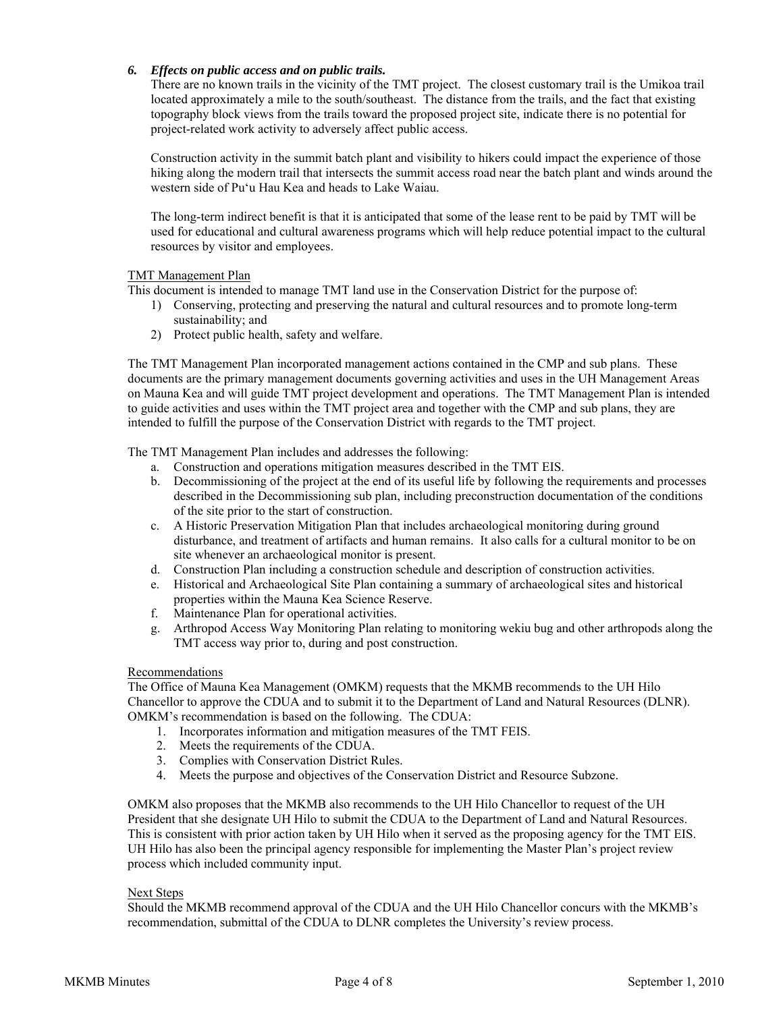## *6. Effects on public access and on public trails.*

There are no known trails in the vicinity of the TMT project. The closest customary trail is the Umikoa trail located approximately a mile to the south/southeast. The distance from the trails, and the fact that existing topography block views from the trails toward the proposed project site, indicate there is no potential for project-related work activity to adversely affect public access.

Construction activity in the summit batch plant and visibility to hikers could impact the experience of those hiking along the modern trail that intersects the summit access road near the batch plant and winds around the western side of Puʻu Hau Kea and heads to Lake Waiau.

The long-term indirect benefit is that it is anticipated that some of the lease rent to be paid by TMT will be used for educational and cultural awareness programs which will help reduce potential impact to the cultural resources by visitor and employees.

## TMT Management Plan

This document is intended to manage TMT land use in the Conservation District for the purpose of:

- 1) Conserving, protecting and preserving the natural and cultural resources and to promote long-term sustainability; and
- 2) Protect public health, safety and welfare.

The TMT Management Plan incorporated management actions contained in the CMP and sub plans. These documents are the primary management documents governing activities and uses in the UH Management Areas on Mauna Kea and will guide TMT project development and operations. The TMT Management Plan is intended to guide activities and uses within the TMT project area and together with the CMP and sub plans, they are intended to fulfill the purpose of the Conservation District with regards to the TMT project.

The TMT Management Plan includes and addresses the following:

- a. Construction and operations mitigation measures described in the TMT EIS.
- b. Decommissioning of the project at the end of its useful life by following the requirements and processes described in the Decommissioning sub plan, including preconstruction documentation of the conditions of the site prior to the start of construction.
- c. A Historic Preservation Mitigation Plan that includes archaeological monitoring during ground disturbance, and treatment of artifacts and human remains. It also calls for a cultural monitor to be on site whenever an archaeological monitor is present.
- d. Construction Plan including a construction schedule and description of construction activities.
- e. Historical and Archaeological Site Plan containing a summary of archaeological sites and historical properties within the Mauna Kea Science Reserve.
- f. Maintenance Plan for operational activities.
- g. Arthropod Access Way Monitoring Plan relating to monitoring wekiu bug and other arthropods along the TMT access way prior to, during and post construction.

## Recommendations

The Office of Mauna Kea Management (OMKM) requests that the MKMB recommends to the UH Hilo Chancellor to approve the CDUA and to submit it to the Department of Land and Natural Resources (DLNR). OMKM's recommendation is based on the following. The CDUA:

- 1. Incorporates information and mitigation measures of the TMT FEIS.
- 2. Meets the requirements of the CDUA.
- 3. Complies with Conservation District Rules.
- 4. Meets the purpose and objectives of the Conservation District and Resource Subzone.

OMKM also proposes that the MKMB also recommends to the UH Hilo Chancellor to request of the UH President that she designate UH Hilo to submit the CDUA to the Department of Land and Natural Resources. This is consistent with prior action taken by UH Hilo when it served as the proposing agency for the TMT EIS. UH Hilo has also been the principal agency responsible for implementing the Master Plan's project review process which included community input.

## Next Steps

Should the MKMB recommend approval of the CDUA and the UH Hilo Chancellor concurs with the MKMB's recommendation, submittal of the CDUA to DLNR completes the University's review process.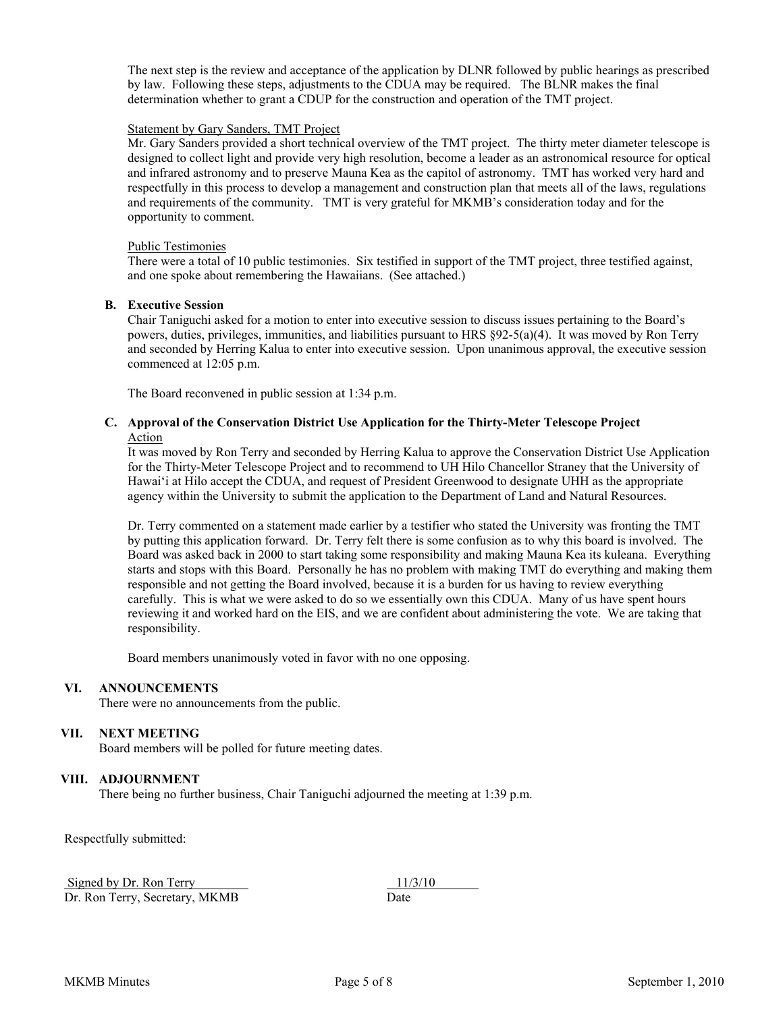The next step is the review and acceptance of the application by DLNR followed by public hearings as prescribed by law. Following these steps, adjustments to the CDUA may be required. The BLNR makes the final determination whether to grant a CDUP for the construction and operation of the TMT project.

#### Statement by Gary Sanders, TMT Project

Mr. Gary Sanders provided a short technical overview of the TMT project. The thirty meter diameter telescope is designed to collect light and provide very high resolution, become a leader as an astronomical resource for optical and infrared astronomy and to preserve Mauna Kea as the capitol of astronomy. TMT has worked very hard and respectfully in this process to develop a management and construction plan that meets all of the laws, regulations and requirements of the community. TMT is very grateful for MKMB's consideration today and for the opportunity to comment.

#### Public Testimonies

There were a total of 10 public testimonies. Six testified in support of the TMT project, three testified against, and one spoke about remembering the Hawaiians. (See attached.)

#### **B. Executive Session**

Chair Taniguchi asked for a motion to enter into executive session to discuss issues pertaining to the Board's powers, duties, privileges, immunities, and liabilities pursuant to HRS §92-5(a)(4). It was moved by Ron Terry and seconded by Herring Kalua to enter into executive session. Upon unanimous approval, the executive session commenced at 12:05 p.m.

The Board reconvened in public session at 1:34 p.m.

#### **C. Approval of the Conservation District Use Application for the Thirty-Meter Telescope Project**  Action

It was moved by Ron Terry and seconded by Herring Kalua to approve the Conservation District Use Application for the Thirty-Meter Telescope Project and to recommend to UH Hilo Chancellor Straney that the University of Hawai'i at Hilo accept the CDUA, and request of President Greenwood to designate UHH as the appropriate agency within the University to submit the application to the Department of Land and Natural Resources.

Dr. Terry commented on a statement made earlier by a testifier who stated the University was fronting the TMT by putting this application forward. Dr. Terry felt there is some confusion as to why this board is involved. The Board was asked back in 2000 to start taking some responsibility and making Mauna Kea its kuleana. Everything starts and stops with this Board. Personally he has no problem with making TMT do everything and making them responsible and not getting the Board involved, because it is a burden for us having to review everything carefully. This is what we were asked to do so we essentially own this CDUA. Many of us have spent hours reviewing it and worked hard on the EIS, and we are confident about administering the vote. We are taking that responsibility.

Board members unanimously voted in favor with no one opposing.

## **VI. ANNOUNCEMENTS**

There were no announcements from the public.

## **VII. NEXT MEETING**

Board members will be polled for future meeting dates.

## **VIII. ADJOURNMENT**

There being no further business, Chair Taniguchi adjourned the meeting at 1:39 p.m.

Respectfully submitted:

Signed by Dr. Ron Terry  $\frac{11}{3/10}$ 

Dr. Ron Terry, Secretary, MKMB Date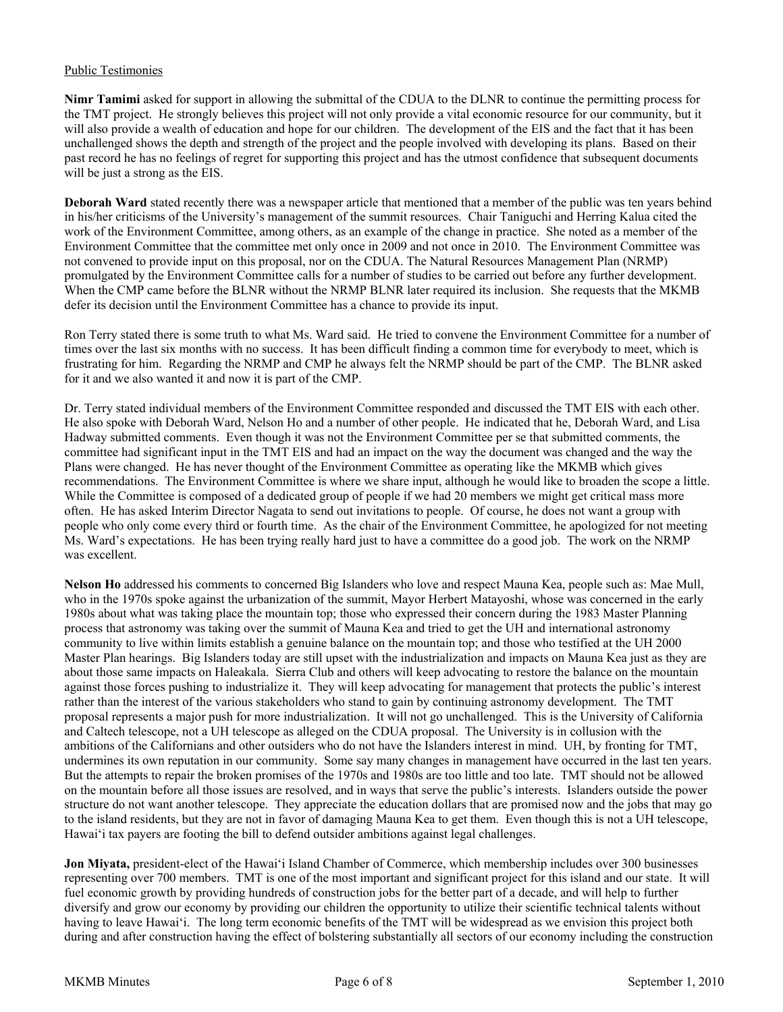## Public Testimonies

**Nimr Tamimi** asked for support in allowing the submittal of the CDUA to the DLNR to continue the permitting process for the TMT project. He strongly believes this project will not only provide a vital economic resource for our community, but it will also provide a wealth of education and hope for our children. The development of the EIS and the fact that it has been unchallenged shows the depth and strength of the project and the people involved with developing its plans. Based on their past record he has no feelings of regret for supporting this project and has the utmost confidence that subsequent documents will be just a strong as the EIS.

**Deborah Ward** stated recently there was a newspaper article that mentioned that a member of the public was ten years behind in his/her criticisms of the University's management of the summit resources. Chair Taniguchi and Herring Kalua cited the work of the Environment Committee, among others, as an example of the change in practice. She noted as a member of the Environment Committee that the committee met only once in 2009 and not once in 2010. The Environment Committee was not convened to provide input on this proposal, nor on the CDUA. The Natural Resources Management Plan (NRMP) promulgated by the Environment Committee calls for a number of studies to be carried out before any further development. When the CMP came before the BLNR without the NRMP BLNR later required its inclusion. She requests that the MKMB defer its decision until the Environment Committee has a chance to provide its input.

Ron Terry stated there is some truth to what Ms. Ward said. He tried to convene the Environment Committee for a number of times over the last six months with no success. It has been difficult finding a common time for everybody to meet, which is frustrating for him. Regarding the NRMP and CMP he always felt the NRMP should be part of the CMP. The BLNR asked for it and we also wanted it and now it is part of the CMP.

Dr. Terry stated individual members of the Environment Committee responded and discussed the TMT EIS with each other. He also spoke with Deborah Ward, Nelson Ho and a number of other people. He indicated that he, Deborah Ward, and Lisa Hadway submitted comments. Even though it was not the Environment Committee per se that submitted comments, the committee had significant input in the TMT EIS and had an impact on the way the document was changed and the way the Plans were changed. He has never thought of the Environment Committee as operating like the MKMB which gives recommendations. The Environment Committee is where we share input, although he would like to broaden the scope a little. While the Committee is composed of a dedicated group of people if we had 20 members we might get critical mass more often. He has asked Interim Director Nagata to send out invitations to people. Of course, he does not want a group with people who only come every third or fourth time. As the chair of the Environment Committee, he apologized for not meeting Ms. Ward's expectations. He has been trying really hard just to have a committee do a good job. The work on the NRMP was excellent.

**Nelson Ho** addressed his comments to concerned Big Islanders who love and respect Mauna Kea, people such as: Mae Mull, who in the 1970s spoke against the urbanization of the summit, Mayor Herbert Matayoshi, whose was concerned in the early 1980s about what was taking place the mountain top; those who expressed their concern during the 1983 Master Planning process that astronomy was taking over the summit of Mauna Kea and tried to get the UH and international astronomy community to live within limits establish a genuine balance on the mountain top; and those who testified at the UH 2000 Master Plan hearings. Big Islanders today are still upset with the industrialization and impacts on Mauna Kea just as they are about those same impacts on Haleakala. Sierra Club and others will keep advocating to restore the balance on the mountain against those forces pushing to industrialize it. They will keep advocating for management that protects the public's interest rather than the interest of the various stakeholders who stand to gain by continuing astronomy development. The TMT proposal represents a major push for more industrialization. It will not go unchallenged. This is the University of California and Caltech telescope, not a UH telescope as alleged on the CDUA proposal. The University is in collusion with the ambitions of the Californians and other outsiders who do not have the Islanders interest in mind. UH, by fronting for TMT, undermines its own reputation in our community. Some say many changes in management have occurred in the last ten years. But the attempts to repair the broken promises of the 1970s and 1980s are too little and too late. TMT should not be allowed on the mountain before all those issues are resolved, and in ways that serve the public's interests. Islanders outside the power structure do not want another telescope. They appreciate the education dollars that are promised now and the jobs that may go to the island residents, but they are not in favor of damaging Mauna Kea to get them. Even though this is not a UH telescope, Hawaiʻi tax payers are footing the bill to defend outsider ambitions against legal challenges.

**Jon Miyata,** president-elect of the Hawaiʻi Island Chamber of Commerce, which membership includes over 300 businesses representing over 700 members. TMT is one of the most important and significant project for this island and our state. It will fuel economic growth by providing hundreds of construction jobs for the better part of a decade, and will help to further diversify and grow our economy by providing our children the opportunity to utilize their scientific technical talents without having to leave Hawaiʻi. The long term economic benefits of the TMT will be widespread as we envision this project both during and after construction having the effect of bolstering substantially all sectors of our economy including the construction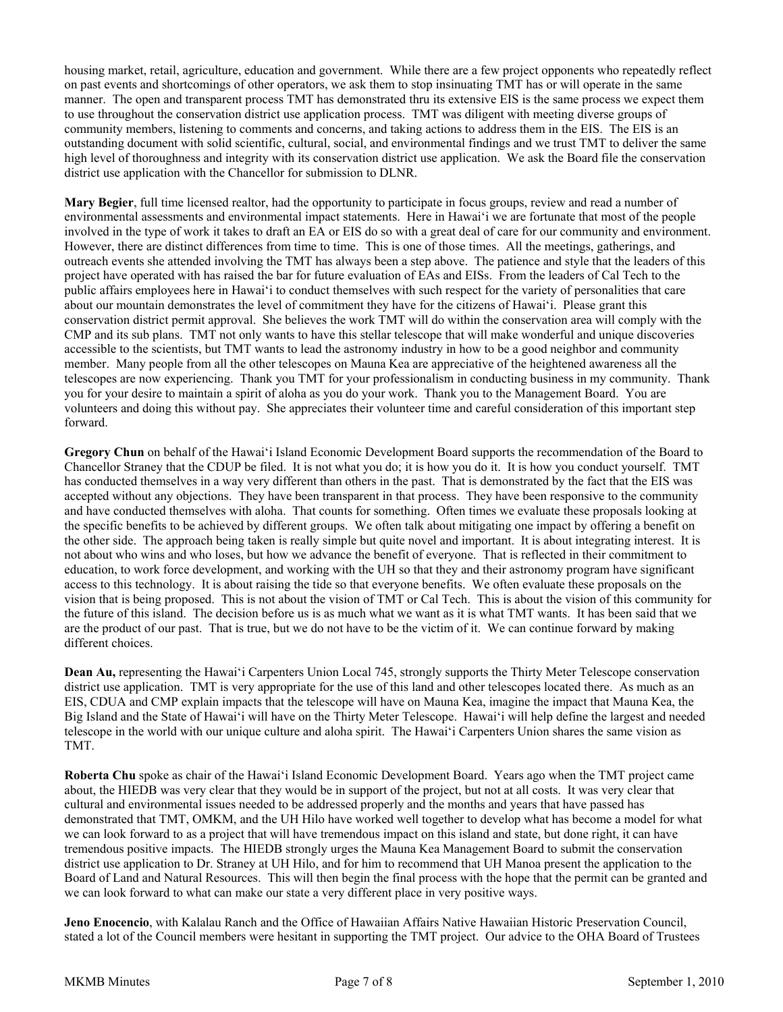housing market, retail, agriculture, education and government. While there are a few project opponents who repeatedly reflect on past events and shortcomings of other operators, we ask them to stop insinuating TMT has or will operate in the same manner. The open and transparent process TMT has demonstrated thru its extensive EIS is the same process we expect them to use throughout the conservation district use application process. TMT was diligent with meeting diverse groups of community members, listening to comments and concerns, and taking actions to address them in the EIS. The EIS is an outstanding document with solid scientific, cultural, social, and environmental findings and we trust TMT to deliver the same high level of thoroughness and integrity with its conservation district use application. We ask the Board file the conservation district use application with the Chancellor for submission to DLNR.

**Mary Begier**, full time licensed realtor, had the opportunity to participate in focus groups, review and read a number of environmental assessments and environmental impact statements. Here in Hawaiʻi we are fortunate that most of the people involved in the type of work it takes to draft an EA or EIS do so with a great deal of care for our community and environment. However, there are distinct differences from time to time. This is one of those times. All the meetings, gatherings, and outreach events she attended involving the TMT has always been a step above. The patience and style that the leaders of this project have operated with has raised the bar for future evaluation of EAs and EISs. From the leaders of Cal Tech to the public affairs employees here in Hawai'i to conduct themselves with such respect for the variety of personalities that care about our mountain demonstrates the level of commitment they have for the citizens of Hawai'i. Please grant this conservation district permit approval. She believes the work TMT will do within the conservation area will comply with the CMP and its sub plans. TMT not only wants to have this stellar telescope that will make wonderful and unique discoveries accessible to the scientists, but TMT wants to lead the astronomy industry in how to be a good neighbor and community member. Many people from all the other telescopes on Mauna Kea are appreciative of the heightened awareness all the telescopes are now experiencing. Thank you TMT for your professionalism in conducting business in my community. Thank you for your desire to maintain a spirit of aloha as you do your work. Thank you to the Management Board. You are volunteers and doing this without pay. She appreciates their volunteer time and careful consideration of this important step forward.

**Gregory Chun** on behalf of the Hawaiʻi Island Economic Development Board supports the recommendation of the Board to Chancellor Straney that the CDUP be filed. It is not what you do; it is how you do it. It is how you conduct yourself. TMT has conducted themselves in a way very different than others in the past. That is demonstrated by the fact that the EIS was accepted without any objections. They have been transparent in that process. They have been responsive to the community and have conducted themselves with aloha. That counts for something. Often times we evaluate these proposals looking at the specific benefits to be achieved by different groups. We often talk about mitigating one impact by offering a benefit on the other side. The approach being taken is really simple but quite novel and important. It is about integrating interest. It is not about who wins and who loses, but how we advance the benefit of everyone. That is reflected in their commitment to education, to work force development, and working with the UH so that they and their astronomy program have significant access to this technology. It is about raising the tide so that everyone benefits. We often evaluate these proposals on the vision that is being proposed. This is not about the vision of TMT or Cal Tech. This is about the vision of this community for the future of this island. The decision before us is as much what we want as it is what TMT wants. It has been said that we are the product of our past. That is true, but we do not have to be the victim of it. We can continue forward by making different choices.

**Dean Au, representing the Hawai'i Carpenters Union Local 745, strongly supports the Thirty Meter Telescope conservation** district use application. TMT is very appropriate for the use of this land and other telescopes located there. As much as an EIS, CDUA and CMP explain impacts that the telescope will have on Mauna Kea, imagine the impact that Mauna Kea, the Big Island and the State of Hawai'i will have on the Thirty Meter Telescope. Hawai'i will help define the largest and needed telescope in the world with our unique culture and aloha spirit. The Hawaiʻi Carpenters Union shares the same vision as TMT.

**Roberta Chu** spoke as chair of the Hawaiʻi Island Economic Development Board. Years ago when the TMT project came about, the HIEDB was very clear that they would be in support of the project, but not at all costs. It was very clear that cultural and environmental issues needed to be addressed properly and the months and years that have passed has demonstrated that TMT, OMKM, and the UH Hilo have worked well together to develop what has become a model for what we can look forward to as a project that will have tremendous impact on this island and state, but done right, it can have tremendous positive impacts. The HIEDB strongly urges the Mauna Kea Management Board to submit the conservation district use application to Dr. Straney at UH Hilo, and for him to recommend that UH Manoa present the application to the Board of Land and Natural Resources. This will then begin the final process with the hope that the permit can be granted and we can look forward to what can make our state a very different place in very positive ways.

**Jeno Enocencio**, with Kalalau Ranch and the Office of Hawaiian Affairs Native Hawaiian Historic Preservation Council, stated a lot of the Council members were hesitant in supporting the TMT project. Our advice to the OHA Board of Trustees